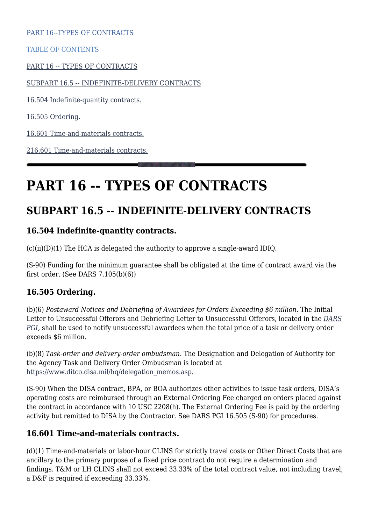PART 16--TYPES OF CONTRACTS

TABLE OF CONTENTS

[PART 16 -- TYPES OF CONTRACTS](#page--1-0)

[SUBPART 16.5 -- INDEFINITE-DELIVERY CONTRACTS](#page--1-0)

[16.504 Indefinite-quantity contracts.](#page--1-0)

[16.505 Ordering.](#page--1-0)

[16.601 Time-and-materials contracts.](#page--1-0)

[216.601 Time-and-materials contracts.](#page--1-0)

# **PART 16 -- TYPES OF CONTRACTS**

## **SUBPART 16.5 -- INDEFINITE-DELIVERY CONTRACTS**

#### **16.504 Indefinite-quantity contracts.**

 $(c)(ii)(D)(1)$  The HCA is delegated the authority to approve a single-award IDIQ.

(S-90) Funding for the minimum guarantee shall be obligated at the time of contract award via the first order. (See DARS 7.105(b)(6))

#### **16.505 Ordering.**

(b)(6) *Postaward Notices and Debriefing of Awardees for Orders Exceeding \$6 million*. The Initial Letter to Unsuccessful Offerors and Debriefing Letter to Unsuccessful Offerors, located in the *[DARS](https://disa.deps.mil/org/PL2/Pages/DITCORefs.aspx) [PGI,](https://disa.deps.mil/org/PL2/Pages/DITCORefs.aspx)* shall be used to notify unsuccessful awardees when the total price of a task or delivery order exceeds \$6 million.

(b)(8) *Task-order and delivery-order ombudsman*. The Designation and Delegation of Authority for the Agency Task and Delivery Order Ombudsman is located at [https://www.ditco.disa.mil/hq/delegation\\_memos.asp.](https://www.ditco.disa.mil/hq/delegation_memos.asp)

(S-90) When the DISA contract, BPA, or BOA authorizes other activities to issue task orders, DISA's operating costs are reimbursed through an External Ordering Fee charged on orders placed against the contract in accordance with 10 USC 2208(h). The External Ordering Fee is paid by the ordering activity but remitted to DISA by the Contractor. See DARS PGI 16.505 (S-90) for procedures.

#### **16.601 Time-and-materials contracts.**

(d)(1) Time-and-materials or labor-hour CLINS for strictly travel costs or Other Direct Costs that are ancillary to the primary purpose of a fixed price contract do not require a determination and findings. T&M or LH CLINS shall not exceed 33.33% of the total contract value, not including travel; a D&F is required if exceeding 33.33%.